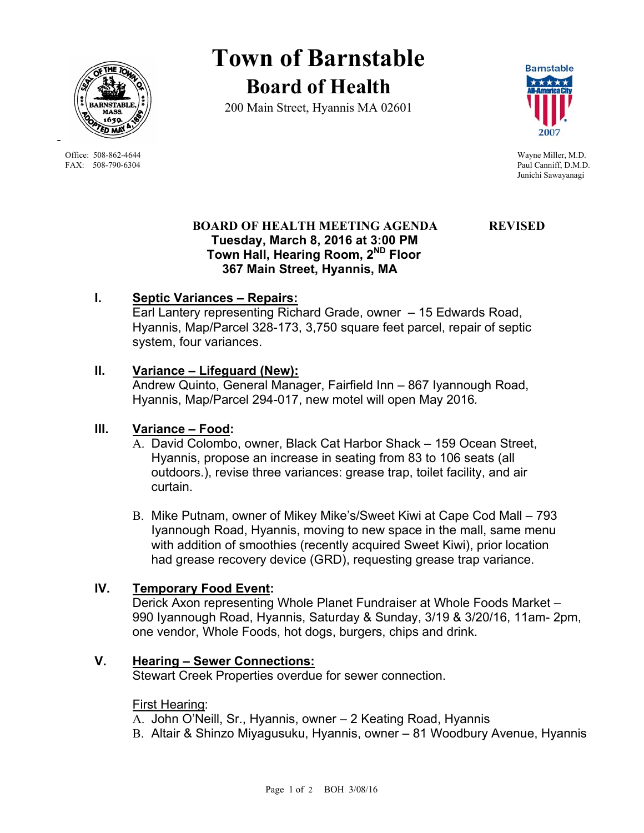

Office: 508-862-4644 Wayne Miller, M.D. FAX: 508-790-6304 Paul Canniff, D.M.D.

-

# **Town of Barnstable Board of Health**

200 Main Street, Hyannis MA 02601



Junichi Sawayanagi

#### **BOARD OF HEALTH MEETING AGENDA REVISED Tuesday, March 8, 2016 at 3:00 PM Town Hall, Hearing Room, 2ND Floor 367 Main Street, Hyannis, MA**

## **I. Septic Variances – Repairs:**

Earl Lantery representing Richard Grade, owner – 15 Edwards Road, Hyannis, Map/Parcel 328-173, 3,750 square feet parcel, repair of septic system, four variances.

#### **II. Variance – Lifeguard (New):**

 Andrew Quinto, General Manager, Fairfield Inn – 867 Iyannough Road, Hyannis, Map/Parcel 294-017, new motel will open May 2016*.*

#### **III. Variance – Food:**

- A. David Colombo, owner, Black Cat Harbor Shack 159 Ocean Street, Hyannis, propose an increase in seating from 83 to 106 seats (all outdoors.), revise three variances: grease trap, toilet facility, and air curtain.
- B. Mike Putnam, owner of Mikey Mike's/Sweet Kiwi at Cape Cod Mall 793 Iyannough Road, Hyannis, moving to new space in the mall, same menu with addition of smoothies (recently acquired Sweet Kiwi), prior location had grease recovery device (GRD), requesting grease trap variance.

### **IV. Temporary Food Event:**

Derick Axon representing Whole Planet Fundraiser at Whole Foods Market – 990 Iyannough Road, Hyannis, Saturday & Sunday, 3/19 & 3/20/16, 11am- 2pm, one vendor, Whole Foods, hot dogs, burgers, chips and drink.

#### **V. Hearing – Sewer Connections:**

Stewart Creek Properties overdue for sewer connection.

#### **First Hearing:**

A. John O'Neill, Sr., Hyannis, owner – 2 Keating Road, Hyannis

B. Altair & Shinzo Miyagusuku, Hyannis, owner – 81 Woodbury Avenue, Hyannis